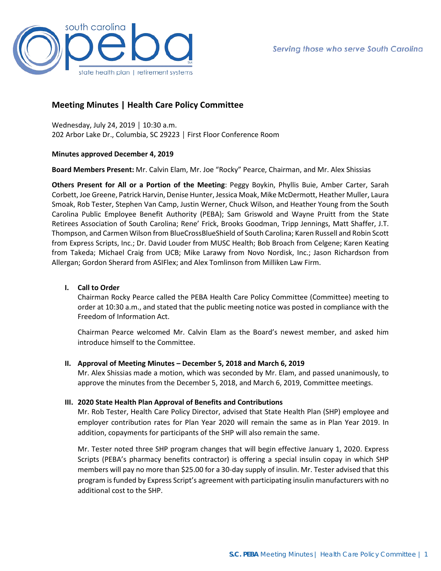

# **Meeting Minutes | Health Care Policy Committee**

Wednesday, July 24, 2019 │ 10:30 a.m. 202 Arbor Lake Dr., Columbia, SC 29223 │ First Floor Conference Room

#### **Minutes approved December 4, 2019**

**Board Members Present:** Mr. Calvin Elam, Mr. Joe "Rocky" Pearce, Chairman, and Mr. Alex Shissias

**Others Present for All or a Portion of the Meeting**: Peggy Boykin, Phyllis Buie, Amber Carter, Sarah Corbett, Joe Greene, Patrick Harvin, Denise Hunter, Jessica Moak, Mike McDermott, Heather Muller, Laura Smoak, Rob Tester, Stephen Van Camp, Justin Werner, Chuck Wilson, and Heather Young from the South Carolina Public Employee Benefit Authority (PEBA); Sam Griswold and Wayne Pruitt from the State Retirees Association of South Carolina; Rene' Frick, Brooks Goodman, Tripp Jennings, Matt Shaffer, J.T. Thompson, and Carmen Wilson from BlueCrossBlueShield of South Carolina; Karen Russell and Robin Scott from Express Scripts, Inc.; Dr. David Louder from MUSC Health; Bob Broach from Celgene; Karen Keating from Takeda; Michael Craig from UCB; Mike Larawy from Novo Nordisk, Inc.; Jason Richardson from Allergan; Gordon Sherard from ASIFlex; and Alex Tomlinson from Milliken Law Firm.

# **I. Call to Order**

Chairman Rocky Pearce called the PEBA Health Care Policy Committee (Committee) meeting to order at 10:30 a.m., and stated that the public meeting notice was posted in compliance with the Freedom of Information Act.

Chairman Pearce welcomed Mr. Calvin Elam as the Board's newest member, and asked him introduce himself to the Committee.

#### **II. Approval of Meeting Minutes – December 5, 2018 and March 6, 2019**

Mr. Alex Shissias made a motion, which was seconded by Mr. Elam, and passed unanimously, to approve the minutes from the December 5, 2018, and March 6, 2019, Committee meetings.

#### **III. 2020 State Health Plan Approval of Benefits and Contributions**

Mr. Rob Tester, Health Care Policy Director, advised that State Health Plan (SHP) employee and employer contribution rates for Plan Year 2020 will remain the same as in Plan Year 2019. In addition, copayments for participants of the SHP will also remain the same.

Mr. Tester noted three SHP program changes that will begin effective January 1, 2020. Express Scripts (PEBA's pharmacy benefits contractor) is offering a special insulin copay in which SHP members will pay no more than \$25.00 for a 30-day supply of insulin. Mr. Tester advised that this program is funded by Express Script's agreement with participating insulin manufacturers with no additional cost to the SHP.